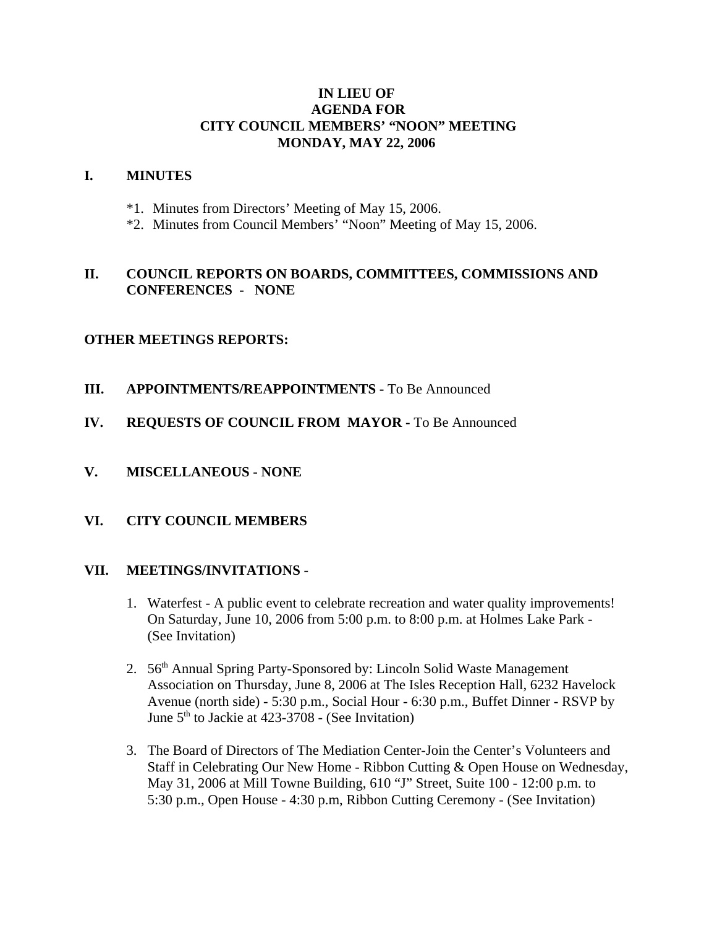## **IN LIEU OF AGENDA FOR CITY COUNCIL MEMBERS' "NOON" MEETING MONDAY, MAY 22, 2006**

#### **I. MINUTES**

- \*1. Minutes from Directors' Meeting of May 15, 2006.
- \*2. Minutes from Council Members' "Noon" Meeting of May 15, 2006.

# **II. COUNCIL REPORTS ON BOARDS, COMMITTEES, COMMISSIONS AND CONFERENCES - NONE**

### **OTHER MEETINGS REPORTS:**

- **III.** APPOINTMENTS/REAPPOINTMENTS To Be Announced
- **IV. REQUESTS OF COUNCIL FROM MAYOR -** To Be Announced
- **V. MISCELLANEOUS NONE**

### **VI. CITY COUNCIL MEMBERS**

### **VII. MEETINGS/INVITATIONS** -

- 1. Waterfest A public event to celebrate recreation and water quality improvements! On Saturday, June 10, 2006 from 5:00 p.m. to 8:00 p.m. at Holmes Lake Park - (See Invitation)
- 2. 56<sup>th</sup> Annual Spring Party-Sponsored by: Lincoln Solid Waste Management Association on Thursday, June 8, 2006 at The Isles Reception Hall, 6232 Havelock Avenue (north side) - 5:30 p.m., Social Hour - 6:30 p.m., Buffet Dinner - RSVP by June  $5<sup>th</sup>$  to Jackie at 423-3708 - (See Invitation)
- 3. The Board of Directors of The Mediation Center-Join the Center's Volunteers and Staff in Celebrating Our New Home - Ribbon Cutting & Open House on Wednesday, May 31, 2006 at Mill Towne Building, 610 "J" Street, Suite 100 - 12:00 p.m. to 5:30 p.m., Open House - 4:30 p.m, Ribbon Cutting Ceremony - (See Invitation)